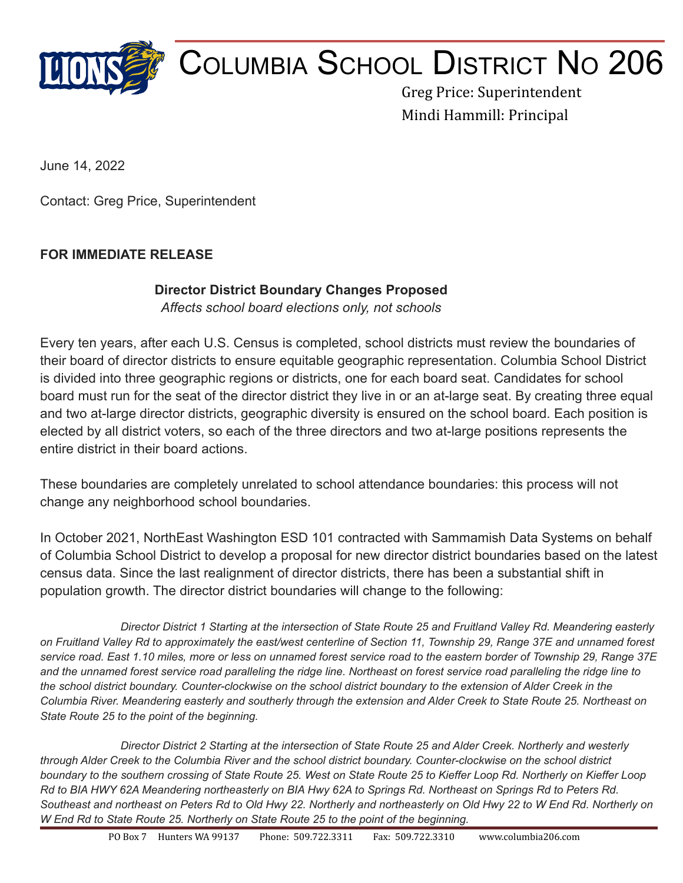

## COLUMBIA SCHOOL DISTRICT N<sup>O</sup> 206

Greg Price: Superintendent Mindi Hammill: Principal

June 14, 2022

Contact: Greg Price, Superintendent

## **FOR IMMEDIATE RELEASE**

## **Director District Boundary Changes Proposed**

*Affects school board elections only, not schools*

Every ten years, after each U.S. Census is completed, school districts must review the boundaries of their board of director districts to ensure equitable geographic representation. Columbia School District is divided into three geographic regions or districts, one for each board seat. Candidates for school board must run for the seat of the director district they live in or an at-large seat. By creating three equal and two at-large director districts, geographic diversity is ensured on the school board. Each position is elected by all district voters, so each of the three directors and two at-large positions represents the entire district in their board actions.

These boundaries are completely unrelated to school attendance boundaries: this process will not change any neighborhood school boundaries.

In October 2021, NorthEast Washington ESD 101 contracted with Sammamish Data Systems on behalf of Columbia School District to develop a proposal for new director district boundaries based on the latest census data. Since the last realignment of director districts, there has been a substantial shift in population growth. The director district boundaries will change to the following:

Director District 1 Starting at the intersection of State Route 25 and Fruitland Valley Rd. Meandering easterly on Fruitland Valley Rd to approximately the east/west centerline of Section 11, Township 29, Range 37E and unnamed forest service road. East 1.10 miles, more or less on unnamed forest service road to the eastern border of Township 29, Range 37E and the unnamed forest service road paralleling the ridge line. Northeast on forest service road paralleling the ridge line to the school district boundary. Counter-clockwise on the school district boundary to the extension of Alder Creek in the Columbia River. Meandering easterly and southerly through the extension and Alder Creek to State Route 25. Northeast on *State Route 25 to the point of the beginning.*

Director District 2 Starting at the intersection of State Route 25 and Alder Creek. Northerly and westerly through Alder Creek to the Columbia River and the school district boundary. Counter-clockwise on the school district boundary to the southern crossing of State Route 25. West on State Route 25 to Kieffer Loop Rd. Northerly on Kieffer Loop Rd to BIA HWY 62A Meandering northeasterly on BIA Hwy 62A to Springs Rd. Northeast on Springs Rd to Peters Rd. Southeast and northeast on Peters Rd to Old Hwy 22. Northerly and northeasterly on Old Hwy 22 to W End Rd. Northerly on *W End Rd to State Route 25. Northerly on State Route 25 to the point of the beginning.*